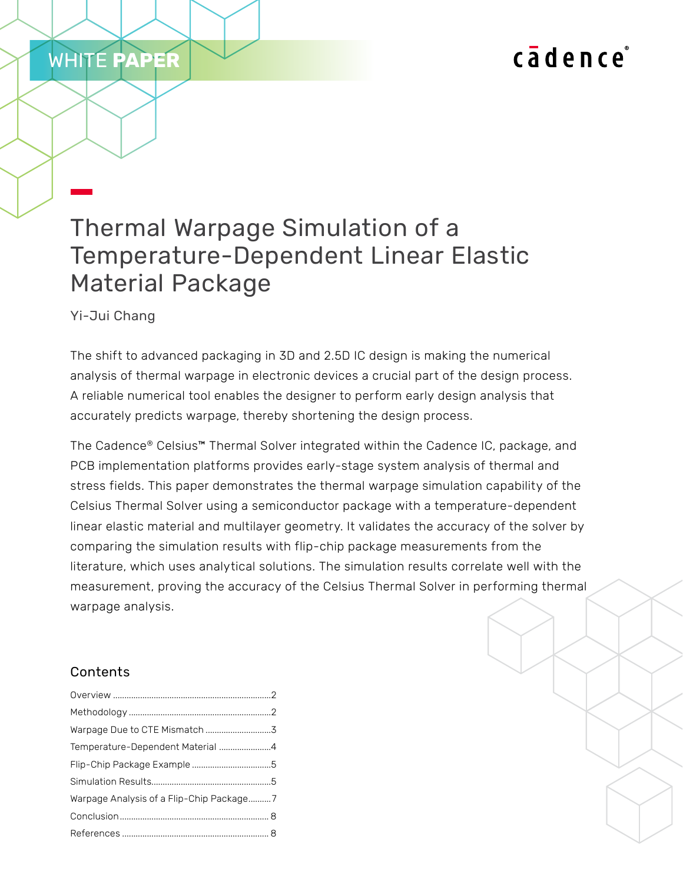# cadence

# Thermal Warpage Simulation of a Temperature-Dependent Linear Elastic Material Package

Yi-Jui Chang

WHITE **PAPER**

The shift to advanced packaging in 3D and 2.5D IC design is making the numerical analysis of thermal warpage in electronic devices a crucial part of the design process. A reliable numerical tool enables the designer to perform early design analysis that accurately predicts warpage, thereby shortening the design process.

The Cadence® Celsius™ Thermal Solver integrated within the Cadence IC, package, and PCB implementation platforms provides early-stage system analysis of thermal and stress fields. This paper demonstrates the thermal warpage simulation capability of the Celsius Thermal Solver using a semiconductor package with a temperature-dependent linear elastic material and multilayer geometry. It validates the accuracy of the solver by comparing the simulation results with flip-chip package measurements from the literature, which uses analytical solutions. The simulation results correlate well with the measurement, proving the accuracy of the Celsius Thermal Solver in performing thermal warpage analysis.

# Contents

| Temperature-Dependent Material 4         |  |
|------------------------------------------|--|
|                                          |  |
|                                          |  |
| Warpage Analysis of a Flip-Chip Package7 |  |
|                                          |  |
|                                          |  |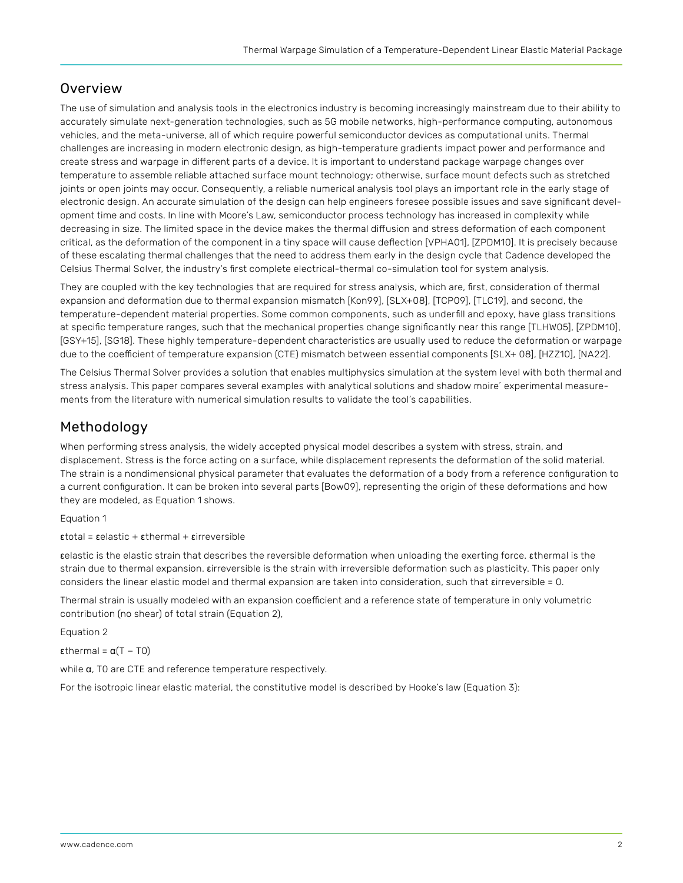## <span id="page-1-0"></span>**Overview**

The use of simulation and analysis tools in the electronics industry is becoming increasingly mainstream due to their ability to accurately simulate next-generation technologies, such as 5G mobile networks, high-performance computing, autonomous vehicles, and the meta-universe, all of which require powerful semiconductor devices as computational units. Thermal challenges are increasing in modern electronic design, as high-temperature gradients impact power and performance and create stress and warpage in different parts of a device. It is important to understand package warpage changes over temperature to assemble reliable attached surface mount technology; otherwise, surface mount defects such as stretched joints or open joints may occur. Consequently, a reliable numerical analysis tool plays an important role in the early stage of electronic design. An accurate simulation of the design can help engineers foresee possible issues and save significant development time and costs. In line with Moore's Law, semiconductor process technology has increased in complexity while decreasing in size. The limited space in the device makes the thermal diffusion and stress deformation of each component critical, as the deformation of the component in a tiny space will cause deflection [VPHA01], [ZPDM10]. It is precisely because of these escalating thermal challenges that the need to address them early in the design cycle that Cadence developed the Celsius Thermal Solver, the industry's first complete electrical-thermal co-simulation tool for system analysis.

They are coupled with the key technologies that are required for stress analysis, which are, first, consideration of thermal expansion and deformation due to thermal expansion mismatch [Kon99], [SLX+08], [TCP09], [TLC19], and second, the temperature-dependent material properties. Some common components, such as underfill and epoxy, have glass transitions at specific temperature ranges, such that the mechanical properties change significantly near this range [TLHW05], [ZPDM10], [GSY+15], [SG18]. These highly temperature-dependent characteristics are usually used to reduce the deformation or warpage due to the coefficient of temperature expansion (CTE) mismatch between essential components [SLX+ 08], [HZZ10], [NA22].

The Celsius Thermal Solver provides a solution that enables multiphysics simulation at the system level with both thermal and stress analysis. This paper compares several examples with analytical solutions and shadow moire' experimental measurements from the literature with numerical simulation results to validate the tool's capabilities.

## Methodology

When performing stress analysis, the widely accepted physical model describes a system with stress, strain, and displacement. Stress is the force acting on a surface, while displacement represents the deformation of the solid material. The strain is a nondimensional physical parameter that evaluates the deformation of a body from a reference configuration to a current configuration. It can be broken into several parts [Bow09], representing the origin of these deformations and how they are modeled, as Equation 1 shows.

Equation 1

 $\epsilon$ total =  $\epsilon$ elastic +  $\epsilon$ thermal +  $\epsilon$ irreversible

εelastic is the elastic strain that describes the reversible deformation when unloading the exerting force. εthermal is the strain due to thermal expansion. εirreversible is the strain with irreversible deformation such as plasticity. This paper only considers the linear elastic model and thermal expansion are taken into consideration, such that εirreversible = 0.

Thermal strain is usually modeled with an expansion coefficient and a reference state of temperature in only volumetric contribution (no shear) of total strain (Equation 2),

Equation 2

εthermal =  $α(T - T0)$ 

while α, T0 are CTE and reference temperature respectively.

For the isotropic linear elastic material, the constitutive model is described by Hooke's law (Equation 3):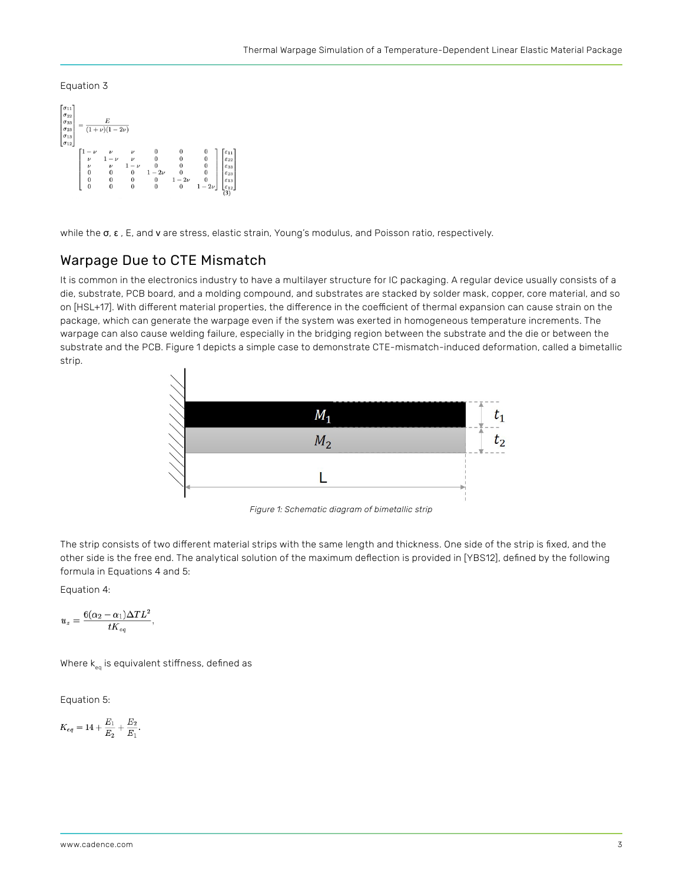#### <span id="page-2-0"></span>Equation 3



while the σ, ε, E, and v are stress, elastic strain, Young's modulus, and Poisson ratio, respectively.

### Warpage Due to CTE Mismatch

It is common in the electronics industry to have a multilayer structure for IC packaging. A regular device usually consists of a die, substrate, PCB board, and a molding compound, and substrates are stacked by solder mask, copper, core material, and so on [HSL+17]. With different material properties, the difference in the coefficient of thermal expansion can cause strain on the package, which can generate the warpage even if the system was exerted in homogeneous temperature increments. The warpage can also cause welding failure, especially in the bridging region between the substrate and the die or between the substrate and the PCB. Figure 1 depicts a simple case to demonstrate CTE-mismatch-induced deformation, called a bimetallic strip.



*Figure 1: Schematic diagram of bimetallic strip*

The strip consists of two different material strips with the same length and thickness. One side of the strip is fixed, and the other side is the free end. The analytical solution of the maximum deflection is provided in [YBS12], defined by the following formula in Equations 4 and 5:

Equation 4:

$$
u_z = \frac{6(\alpha_2 - \alpha_1)\Delta T L^2}{t K_{eq}}
$$

Where  $k_{eq}$  is equivalent stiffness, defined as

Equation 5:

$$
K_{eq}=14+\frac{E_{1}}{E_{2}}+\frac{E_{2}}{E_{1}}
$$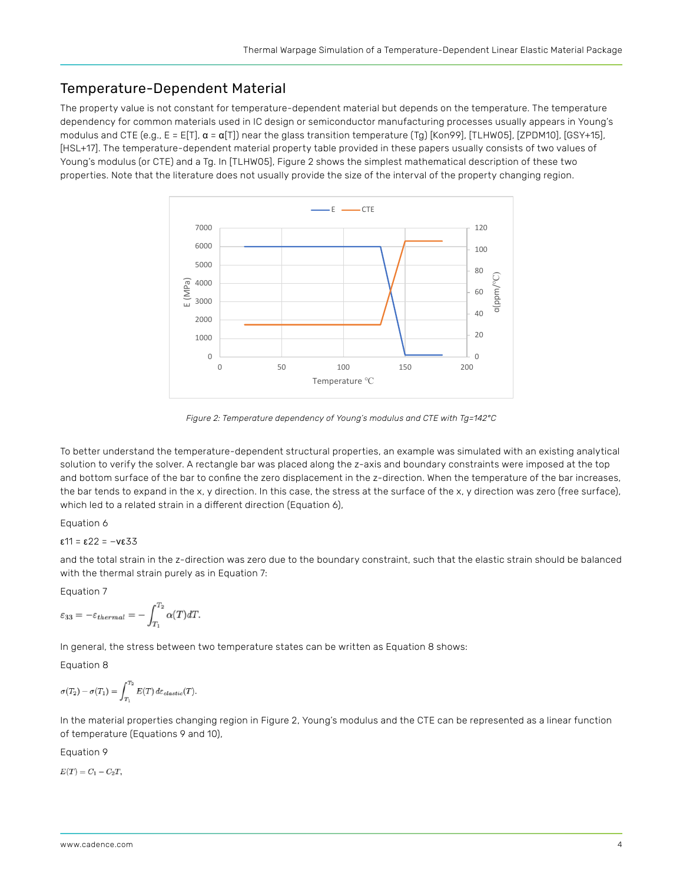## <span id="page-3-0"></span>Temperature-Dependent Material

The property value is not constant for temperature-dependent material but depends on the temperature. The temperature dependency for common materials used in IC design or semiconductor manufacturing processes usually appears in Young's modulus and CTE (e.g.,  $E = E[T]$ ,  $\alpha = \alpha[T]$ ) near the glass transition temperature (Tg) [Kon99], [TLHW05], [ZPDM10], [GSY+15], [HSL+17]. The temperature-dependent material property table provided in these papers usually consists of two values of Young's modulus (or CTE) and a Tg. In [TLHW05], Figure 2 shows the simplest mathematical description of these two properties. Note that the literature does not usually provide the size of the interval of the property changing region.



*Figure 2: Temperature dependency of Young's modulus and CTE with Tg=142°C* 

To better understand the temperature-dependent structural properties, an example was simulated with an existing analytical solution to verify the solver. A rectangle bar was placed along the z-axis and boundary constraints were imposed at the top and bottom surface of the bar to confine the zero displacement in the z-direction. When the temperature of the bar increases, the bar tends to expand in the x, y direction. In this case, the stress at the surface of the x, y direction was zero (free surface), which led to a related strain in a different direction (Equation 6),

#### Equation 6

ε11 = ε22 = −νε33

and the total strain in the z-direction was zero due to the boundary constraint, such that the elastic strain should be balanced with the thermal strain purely as in Equation 7:

Equation 7

$$
\varepsilon_{33} = -\varepsilon_{thermal} = -\int_{T_1}^{T_2} \alpha(T) dT.
$$

In general, the stress between two temperature states can be written as Equation 8 shows:

#### Equation 8

$$
\sigma(T_2) - \sigma(T_1) = \int_{T_1}^{T_2} E(T) d\varepsilon_{elastic}(T).
$$

In the material properties changing region in Figure 2, Young's modulus and the CTE can be represented as a linear function of temperature (Equations 9 and 10),

Equation 9

 $E(T) = C_1 - C_2T,$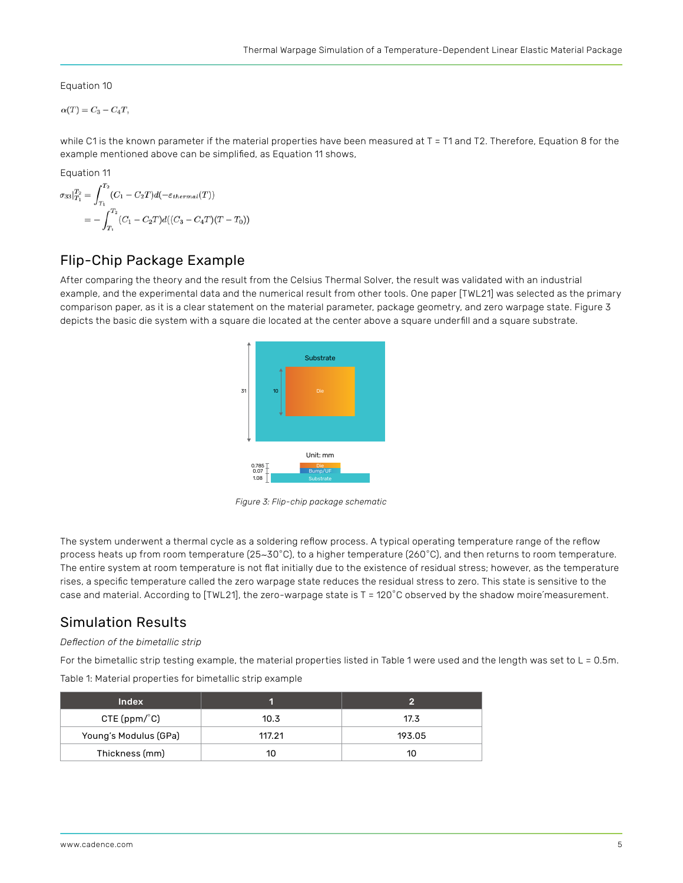<span id="page-4-0"></span>Equation 10

 $\alpha(T) = C_3 - C_4T,$ 

while C1 is the known parameter if the material properties have been measured at T = T1 and T2. Therefore, Equation 8 for the example mentioned above can be simplified, as Equation 11 shows,

Equation 11

$$
\sigma_{33}|_{T_1}^{T_2} = \int_{T_1}^{T_2} (C_1 - C_2T)d(-\varepsilon_{thermal}(T))
$$
  
= 
$$
-\int_{T_1}^{T_2} (C_1 - C_2T)d((C_3 - C_4T)(T - T_0))
$$

## Flip-Chip Package Example

After comparing the theory and the result from the Celsius Thermal Solver, the result was validated with an industrial example, and the experimental data and the numerical result from other tools. One paper [TWL21] was selected as the primary comparison paper, as it is a clear statement on the material parameter, package geometry, and zero warpage state. Figure 3 depicts the basic die system with a square die located at the center above a square underfill and a square substrate.



*Figure 3: Flip-chip package schematic*

The system underwent a thermal cycle as a soldering reflow process. A typical operating temperature range of the reflow process heats up from room temperature (25∼30◦C), to a higher temperature (260◦C), and then returns to room temperature. The entire system at room temperature is not flat initially due to the existence of residual stress; however, as the temperature rises, a specific temperature called the zero warpage state reduces the residual stress to zero. This state is sensitive to the case and material. According to [TWL21], the zero-warpage state is T = 120℃ observed by the shadow moire measurement.

### Simulation Results

#### *Deflection of the bimetallic strip*

For the bimetallic strip testing example, the material properties listed in Table 1 were used and the length was set to L = 0.5m.

Table 1: Material properties for bimetallic strip example

| <b>Index</b>          |        |        |
|-----------------------|--------|--------|
| CTE (ppm/°C)          | 10.3   | 17.3   |
| Young's Modulus (GPa) | 117.21 | 193.05 |
| Thickness (mm)        |        | 10     |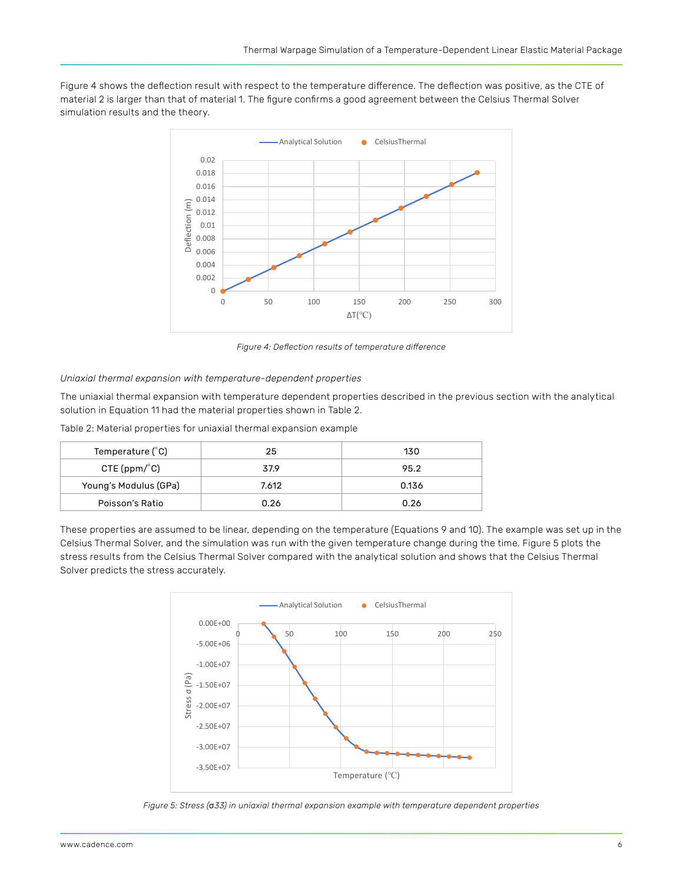Figure 4 shows the deflection result with respect to the temperature difference. The deflection was positive, as the CTE of material 2 is larger than that of material 1. The figure confirms a good agreement between the Celsius Thermal Solver simulation results and the theory.



*Figure 4: Deflection results of temperature difference*

#### *Uniaxial thermal expansion with temperature-dependent properties*

The uniaxial thermal expansion with temperature dependent properties described in the previous section with the analytical solution in Equation 11 had the material properties shown in Table 2.

Table 2: Material properties for uniaxial thermal expansion example

| Temperature $(^{\circ}C)$ | 25    | 130   |
|---------------------------|-------|-------|
| CTE(ppm/°C)               | 37.9  | 95.2  |
| Young's Modulus (GPa)     | 7.612 | 0.136 |
| Poisson's Ratio           | 0.26  | 0.26  |

These properties are assumed to be linear, depending on the temperature (Equations 9 and 10). The example was set up in the Celsius Thermal Solver, and the simulation was run with the given temperature change during the time. Figure 5 plots the stress results from the Celsius Thermal Solver compared with the analytical solution and shows that the Celsius Thermal Solver predicts the stress accurately.



*Figure 5: Stress (*σ*33) in uniaxial thermal expansion example with temperature dependent properties*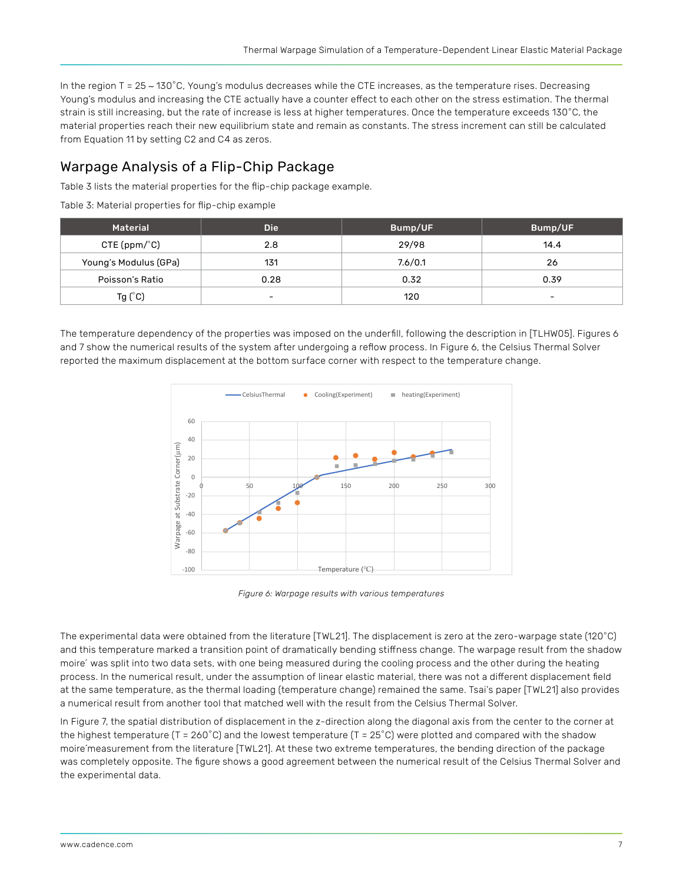<span id="page-6-0"></span>In the region T = 25 ∼ 130◦C, Young's modulus decreases while the CTE increases, as the temperature rises. Decreasing Young's modulus and increasing the CTE actually have a counter effect to each other on the stress estimation. The thermal strain is still increasing, but the rate of increase is less at higher temperatures. Once the temperature exceeds 130◦C, the material properties reach their new equilibrium state and remain as constants. The stress increment can still be calculated from Equation 11 by setting C2 and C4 as zeros.

## Warpage Analysis of a Flip-Chip Package

Table 3 lists the material properties for the flip-chip package example.

|  | Table 3: Material properties for flip-chip example |  |  |
|--|----------------------------------------------------|--|--|
|  |                                                    |  |  |

| Material              | <b>Die</b>               | Bump/UF | Bump/UF                  |
|-----------------------|--------------------------|---------|--------------------------|
| CTE(ppm/°C)           | 2.8                      | 29/98   | 14.4                     |
| Young's Modulus (GPa) | 131                      | 7.6/0.1 | 26                       |
| Poisson's Ratio       | 0.28                     | 0.32    | 0.39                     |
| Tg $(^{\circ}C)$      | $\overline{\phantom{0}}$ | 120     | $\overline{\phantom{0}}$ |

The temperature dependency of the properties was imposed on the underfill, following the description in [TLHW05]. Figures 6 and 7 show the numerical results of the system after undergoing a reflow process. In Figure 6, the Celsius Thermal Solver reported the maximum displacement at the bottom surface corner with respect to the temperature change.



*Figure 6: Warpage results with various temperatures*

The experimental data were obtained from the literature [TWL21]. The displacement is zero at the zero-warpage state (120◦C) and this temperature marked a transition point of dramatically bending stiffness change. The warpage result from the shadow moire' was split into two data sets, with one being measured during the cooling process and the other during the heating process. In the numerical result, under the assumption of linear elastic material, there was not a different displacement field at the same temperature, as the thermal loading (temperature change) remained the same. Tsai's paper [TWL21] also provides a numerical result from another tool that matched well with the result from the Celsius Thermal Solver.

In Figure 7, the spatial distribution of displacement in the z-direction along the diagonal axis from the center to the corner at the highest temperature (T = 260◦C) and the lowest temperature (T = 25◦C) were plotted and compared with the shadow moire ́measurement from the literature [TWL21]. At these two extreme temperatures, the bending direction of the package was completely opposite. The figure shows a good agreement between the numerical result of the Celsius Thermal Solver and the experimental data.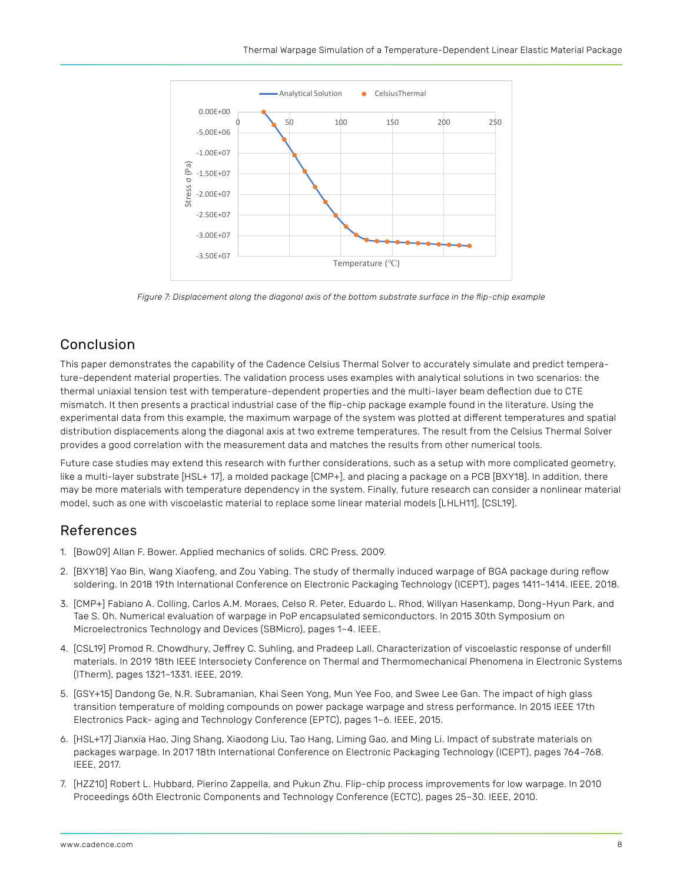<span id="page-7-0"></span>

*Figure 7: Displacement along the diagonal axis of the bottom substrate surface in the flip-chip example*

# Conclusion

This paper demonstrates the capability of the Cadence Celsius Thermal Solver to accurately simulate and predict temperature-dependent material properties. The validation process uses examples with analytical solutions in two scenarios: the thermal uniaxial tension test with temperature-dependent properties and the multi-layer beam deflection due to CTE mismatch. It then presents a practical industrial case of the flip-chip package example found in the literature. Using the experimental data from this example, the maximum warpage of the system was plotted at different temperatures and spatial distribution displacements along the diagonal axis at two extreme temperatures. The result from the Celsius Thermal Solver provides a good correlation with the measurement data and matches the results from other numerical tools.

Future case studies may extend this research with further considerations, such as a setup with more complicated geometry, like a multi-layer substrate [HSL+ 17], a molded package [CMP+], and placing a package on a PCB [BXY18]. In addition, there may be more materials with temperature dependency in the system. Finally, future research can consider a nonlinear material model, such as one with viscoelastic material to replace some linear material models [LHLH11], [CSL19].

## References

- 1. [Bow09] Allan F. Bower. Applied mechanics of solids. CRC Press, 2009.
- 2. [BXY18] Yao Bin, Wang Xiaofeng, and Zou Yabing. The study of thermally induced warpage of BGA package during reflow soldering. In 2018 19th International Conference on Electronic Packaging Technology (ICEPT), pages 1411–1414. IEEE, 2018.
- 3. [CMP+] Fabiano A. Colling, Carlos A.M. Moraes, Celso R. Peter, Eduardo L. Rhod, Willyan Hasenkamp, Dong-Hyun Park, and Tae S. Oh. Numerical evaluation of warpage in PoP encapsulated semiconductors. In 2015 30th Symposium on Microelectronics Technology and Devices (SBMicro), pages 1–4. IEEE.
- 4. [CSL19] Promod R. Chowdhury, Jeffrey C. Suhling, and Pradeep Lall. Characterization of viscoelastic response of underfill materials. In 2019 18th IEEE Intersociety Conference on Thermal and Thermomechanical Phenomena in Electronic Systems (ITherm), pages 1321–1331. IEEE, 2019.
- 5. [GSY+15] Dandong Ge, N.R. Subramanian, Khai Seen Yong, Mun Yee Foo, and Swee Lee Gan. The impact of high glass transition temperature of molding compounds on power package warpage and stress performance. In 2015 IEEE 17th Electronics Pack- aging and Technology Conference (EPTC), pages 1–6. IEEE, 2015.
- 6. [HSL+17] Jianxia Hao, Jing Shang, Xiaodong Liu, Tao Hang, Liming Gao, and Ming Li. Impact of substrate materials on packages warpage. In 2017 18th International Conference on Electronic Packaging Technology (ICEPT), pages 764–768. IEEE, 2017.
- 7. [HZZ10] Robert L. Hubbard, Pierino Zappella, and Pukun Zhu. Flip-chip process improvements for low warpage. In 2010 Proceedings 60th Electronic Components and Technology Conference (ECTC), pages 25–30. IEEE, 2010.